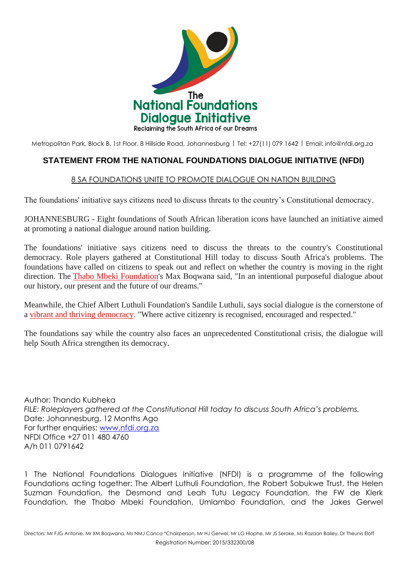

Metropolitan Park, Block B, 1st Floor, 8 Hillside Road, Johannesburg | Tel: +27(11) 079 1642 | Email: [info@nfdi.org.za](mailto:info@nfdi.org.za)

## **STATEMENT FROM THE NATIONAL FOUNDATIONS DIALOGUE INITIATIVE (NFDI)**

## 8 SA FOUNDATIONS UNITE TO PROMOTE DIALOGUE ON NATION BUILDING

The foundations' initiative says citizens need to discuss threats to the country's Constitutional democracy.

JOHANNESBURG - Eight foundations of South African liberation icons have launched an initiative aimed at promoting a national dialogue around nation building.

The foundations' initiative says citizens need to discuss the threats to the country's Constitutional democracy. Role players gathered at Constitutional Hill today to discuss South Africa's problems. The foundations have called on citizens to speak out and reflect on whether the country is moving in the right direction. The [Thabo Mbeki Foundation'](http://ewn.co.za/Topic/Thabo-Mbeki-Foundation)s Max Boqwana said, "In an intentional purposeful dialogue about our history, our present and the future of our dreams."

Meanwhile, the Chief Albert Luthuli Foundation's Sandile Luthuli, says social dialogue is the cornerstone of a [vibrant and thriving democracy.](http://ewn.co.za/Topic/New-Democracy) "Where active citizenry is recognised, encouraged and respected."

The foundations say while the country also faces an unprecedented Constitutional crisis, the dialogue will help South Africa strengthen its democracy.

Author: Thando Kubheka *FILE: Roleplayers gathered at the Constitutional Hill today to discuss South Africa's problems.* Date: Johannesburg, 12 Months Ago For further enquiries: [www.nfdi.org.za](http://www.nfdi.org.za/) NFDI Office +27 011 480 4760 A/h 011 0791642

1 The National Foundations Dialogues Initiative (NFDI) is a programme of the following Foundations acting together: The Albert Luthuli Foundation, the Robert Sobukwe Trust, the Helen Suzman Foundation, the Desmond and Leah Tutu Legacy Foundation, the FW de Klerk Foundation, the Thabo Mbeki Foundation, Umlambo Foundation, and the Jakes Gerwel